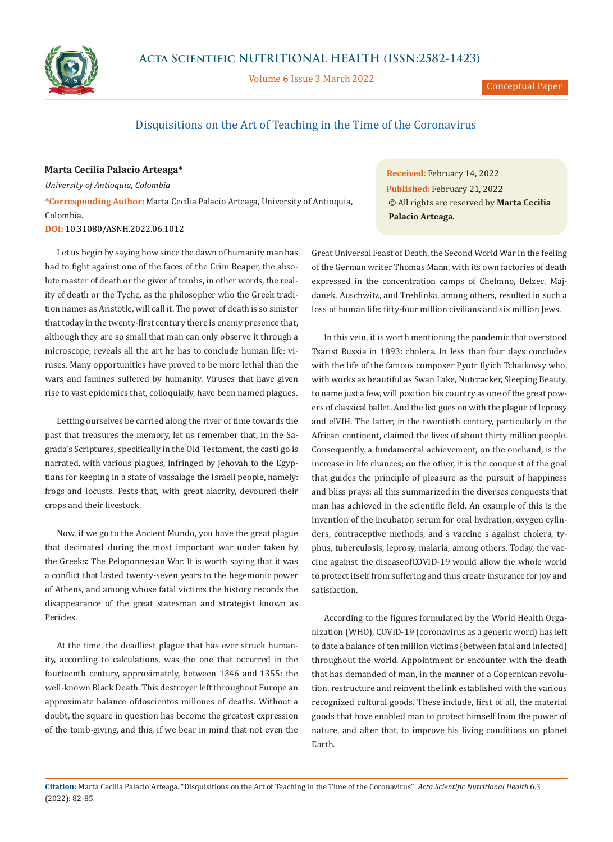

**Acta Scientific NUTRITIONAL HEALTH (ISSN:2582-1423)**

Volume 6 Issue 3 March 2022

## Disquisitions on the Art of Teaching in the Time of the Coronavirus

**Marta Cecilia Palacio Arteaga\*** *University of Antioquia, Colombia* **\*Corresponding Author:** Marta Cecilia Palacio Arteaga, University of Antioquia, Colombia.

**DOI:** [10.31080/ASNH.2022.06.1012](https://actascientific.com/ASNH/pdf/ASNH-06-1012.pdf)

Let us begin by saying how since the dawn of humanity man has had to fight against one of the faces of the Grim Reaper, the absolute master of death or the giver of tombs, in other words, the reality of death or the Tyche*,* as the philosopher who the Greek tradition names as Aristotle, will call it. The power of death is so sinister that today in the twenty-first century there is enemy presence that, although they are so small that man can only observe it through a microscope, reveals all the art he has to conclude human life: viruses. Many opportunities have proved to be more lethal than the wars and famines suffered by humanity. Viruses that have given rise to vast epidemics that, colloquially, have been named plagues.

Letting ourselves be carried along the river of time towards the past that treasures the memory, let us remember that, in the Sagrada's Scriptures, specifically in the Old Testament, the casti go is narrated, with various plagues, infringed by Jehovah to the Egyptians for keeping in a state of vassalage the Israeli people, namely: frogs and locusts. Pests that, with great alacrity, devoured their crops and their livestock.

Now, if we go to the Ancient Mundo, you have the great plague that decimated during the most important war under taken by the Greeks: The Peloponnesian War. It is worth saying that it was a conflict that lasted twenty-seven years to the hegemonic power of Athens, and among whose fatal victims the history records the disappearance of the great statesman and strategist known as Pericles.

At the time, the deadliest plague that has ever struck humanity, according to calculations, was the one that occurred in the fourteenth century, approximately, between 1346 and 1355: the well-known Black Death. This destroyer left throughout Europe an approximate balance ofdoscientos millones of deaths. Without a doubt, the square in question has become the greatest expression of the tomb-giving, and this, if we bear in mind that not even the

**Received:** February 14, 2022 **Published:** February 21, 2022 © All rights are reserved by **Marta Cecilia Palacio Arteaga***.*

Great Universal Feast of Death, the Second World War in the feeling of the German writer Thomas Mann, with its own factories of death expressed in the concentration camps of Chelmno, Belzec, Majdanek, Auschwitz, and Treblinka, among others, resulted in such a loss of human life: fifty-four million civilians and six million Jews.

In this vein, it is worth mentioning the pandemic that overstood Tsarist Russia in 1893: cholera. In less than four days concludes with the life of the famous composer Pyotr Ilyich Tchaikovsy who, with works as beautiful as Swan Lake, Nutcracker, Sleeping Beauty, to name just a few, will position his country as one of the great powers of classical ballet. And the list goes on with the plague of leprosy and elVIH. The latter, in the twentieth century, particularly in the African continent, claimed the lives of about thirty million people. Consequently, a fundamental achievement, on the onehand, is the increase in life chances; on the other, it is the conquest of the goal that guides the principle of pleasure as the pursuit of happiness and bliss prays; all this summarized in the diverses conquests that man has achieved in the scientific field. An example of this is the invention of the incubator, serum for oral hydration, oxygen cylinders, contraceptive methods, and s vaccine s against cholera, typhus, tuberculosis, leprosy, malaria, among others. Today, the vaccine against the diseaseofCOVID-19 would allow the whole world to protect itself from suffering and thus create insurance for joy and satisfaction.

According to the figures formulated by the World Health Organization (WHO), COVID-19 (coronavirus as a generic word) has left to date a balance of ten million victims (between fatal and infected) throughout the world. Appointment or encounter with the death that has demanded of man, in the manner of a Copernican revolution, restructure and reinvent the link established with the various recognized cultural goods. These include, first of all, the material goods that have enabled man to protect himself from the power of nature, and after that, to improve his living conditions on planet Earth.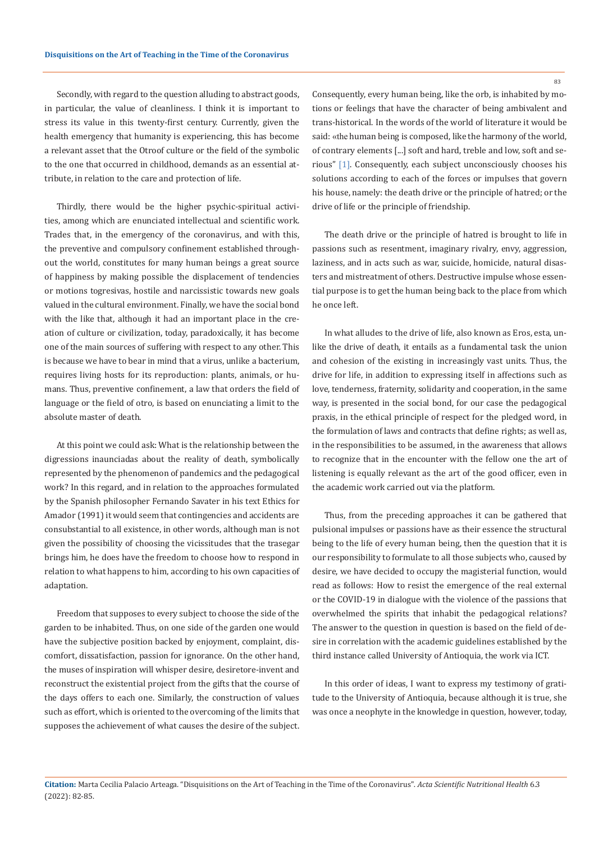Secondly, with regard to the question alluding to abstract goods, in particular, the value of cleanliness. I think it is important to stress its value in this twenty-first century. Currently, given the health emergency that humanity is experiencing, this has become a relevant asset that the Otroof culture or the field of the symbolic to the one that occurred in childhood, demands as an essential attribute, in relation to the care and protection of life.

Thirdly, there would be the higher psychic-spiritual activities, among which are enunciated intellectual and scientific work. Trades that, in the emergency of the coronavirus, and with this, the preventive and compulsory confinement established throughout the world, constitutes for many human beings a great source of happiness by making possible the displacement of tendencies or motions togresivas, hostile and narcissistic towards new goals valued in the cultural environment. Finally, we have the social bond with the like that, although it had an important place in the creation of culture or civilization, today, paradoxically, it has become one of the main sources of suffering with respect to any other. This is because we have to bear in mind that a virus, unlike a bacterium, requires living hosts for its reproduction: plants, animals, or humans. Thus, preventive confinement, a law that orders the field of language or the field of otro, is based on enunciating a limit to the absolute master of death.

At this point we could ask: What is the relationship between the digressions inaunciadas about the reality of death, symbolically represented by the phenomenon of pandemics and the pedagogical work? In this regard, and in relation to the approaches formulated by the Spanish philosopher Fernando Savater in his text Ethics for Amador (1991) it would seem that contingencies and accidents are consubstantial to all existence, in other words, although man is not given the possibility of choosing the vicissitudes that the trasegar brings him, he does have the freedom to choose how to respond in relation to what happens to him, according to his own capacities of adaptation.

Freedom that supposes to every subject to choose the side of the garden to be inhabited. Thus, on one side of the garden one would have the subjective position backed by enjoyment, complaint, discomfort, dissatisfaction, passion for ignorance. On the other hand, the muses of inspiration will whisper desire, desiretore-invent and reconstruct the existential project from the gifts that the course of the days offers to each one. Similarly, the construction of values such as effort, which is oriented to the overcoming of the limits that supposes the achievement of what causes the desire of the subject.

Consequently, every human being, like the orb, is inhabited by motions or feelings that have the character of being ambivalent and trans-historical. In the words of the world of literature it would be said: «the human being is composed, like the harmony of the world, of contrary elements [...] soft and hard, treble and low, soft and serious" [1]. Consequently, each subject unconsciously chooses his solutions according to each of the forces or impulses that govern his house, namely: the death drive or the principle of hatred; or the drive of life or the principle of friendship.

The death drive or the principle of hatred is brought to life in passions such as resentment, imaginary rivalry, envy, aggression, laziness, and in acts such as war, suicide, homicide, natural disasters and mistreatment of others. Destructive impulse whose essential purpose is to get the human being back to the place from which he once left.

In what alludes to the drive of life, also known as Eros, esta, unlike the drive of death, it entails as a fundamental task the union and cohesion of the existing in increasingly vast units. Thus, the drive for life, in addition to expressing itself in affections such as love, tenderness, fraternity, solidarity and cooperation, in the same way, is presented in the social bond, for our case the pedagogical praxis, in the ethical principle of respect for the pledged word, in the formulation of laws and contracts that define rights; as well as, in the responsibilities to be assumed, in the awareness that allows to recognize that in the encounter with the fellow one the art of listening is equally relevant as the art of the good officer, even in the academic work carried out via the platform.

Thus, from the preceding approaches it can be gathered that pulsional impulses or passions have as their essence the structural being to the life of every human being, then the question that it is our responsibility to formulate to all those subjects who, caused by desire, we have decided to occupy the magisterial function, would read as follows: How to resist the emergence of the real external or the COVID-19 in dialogue with the violence of the passions that overwhelmed the spirits that inhabit the pedagogical relations? The answer to the question in question is based on the field of desire in correlation with the academic guidelines established by the third instance called University of Antioquia, the work via ICT.

In this order of ideas, I want to express my testimony of gratitude to the University of Antioquia, because although it is true, she was once a neophyte in the knowledge in question, however, today,

83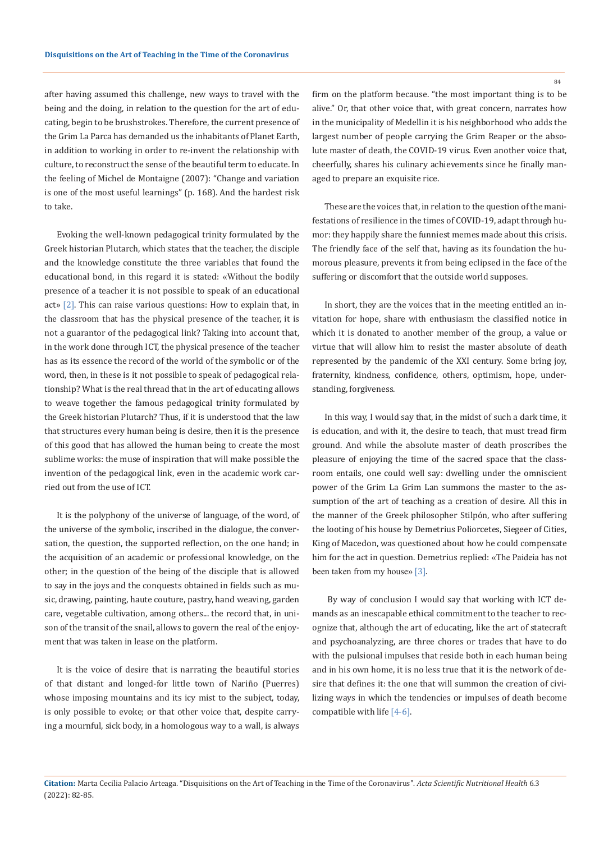after having assumed this challenge, new ways to travel with the being and the doing, in relation to the question for the art of educating, begin to be brushstrokes. Therefore, the current presence of the Grim La Parca has demanded us the inhabitants of Planet Earth, in addition to working in order to re-invent the relationship with culture, to reconstruct the sense of the beautiful term to educate. In the feeling of Michel de Montaigne (2007): "Change and variation is one of the most useful learnings" (p. 168). And the hardest risk to take.

Evoking the well-known pedagogical trinity formulated by the Greek historian Plutarch, which states that the teacher, the disciple and the knowledge constitute the three variables that found the educational bond, in this regard it is stated: «Without the bodily presence of a teacher it is not possible to speak of an educational act» [2]. This can raise various questions: How to explain that, in the classroom that has the physical presence of the teacher, it is not a guarantor of the pedagogical link? Taking into account that, in the work done through ICT, the physical presence of the teacher has as its essence the record of the world of the symbolic or of the word, then, in these is it not possible to speak of pedagogical relationship? What is the real thread that in the art of educating allows to weave together the famous pedagogical trinity formulated by the Greek historian Plutarch? Thus, if it is understood that the law that structures every human being is desire, then it is the presence of this good that has allowed the human being to create the most sublime works: the muse of inspiration that will make possible the invention of the pedagogical link, even in the academic work carried out from the use of ICT.

It is the polyphony of the universe of language, of the word, of the universe of the symbolic, inscribed in the dialogue, the conversation, the question, the supported reflection, on the one hand; in the acquisition of an academic or professional knowledge, on the other; in the question of the being of the disciple that is allowed to say in the joys and the conquests obtained in fields such as music, drawing, painting, haute couture, pastry, hand weaving, garden care, vegetable cultivation, among others... the record that, in unison of the transit of the snail, allows to govern the real of the enjoyment that was taken in lease on the platform.

It is the voice of desire that is narrating the beautiful stories of that distant and longed-for little town of Nariño (Puerres) whose imposing mountains and its icy mist to the subject, today, is only possible to evoke; or that other voice that, despite carrying a mournful, sick body, in a homologous way to a wall, is always firm on the platform because. "the most important thing is to be alive." Or, that other voice that, with great concern, narrates how in the municipality of Medellin it is his neighborhood who adds the largest number of people carrying the Grim Reaper or the absolute master of death, the COVID-19 virus. Even another voice that, cheerfully, shares his culinary achievements since he finally managed to prepare an exquisite rice.

These are the voices that, in relation to the question of the manifestations of resilience in the times of COVID-19, adapt through humor: they happily share the funniest memes made about this crisis. The friendly face of the self that, having as its foundation the humorous pleasure, prevents it from being eclipsed in the face of the suffering or discomfort that the outside world supposes.

In short, they are the voices that in the meeting entitled an invitation for hope, share with enthusiasm the classified notice in which it is donated to another member of the group, a value or virtue that will allow him to resist the master absolute of death represented by the pandemic of the XXI century. Some bring joy, fraternity, kindness, confidence, others, optimism, hope, understanding, forgiveness.

In this way, I would say that, in the midst of such a dark time, it is education, and with it, the desire to teach, that must tread firm ground. And while the absolute master of death proscribes the pleasure of enjoying the time of the sacred space that the classroom entails, one could well say: dwelling under the omniscient power of the Grim La Grim Lan summons the master to the assumption of the art of teaching as a creation of desire. All this in the manner of the Greek philosopher Stilpón, who after suffering the looting of his house by Demetrius Poliorcetes, Siegeer of Cities, King of Macedon, was questioned about how he could compensate him for the act in question. Demetrius replied: «The Paideia has not been taken from my house» [3].

 By way of conclusion I would say that working with ICT demands as an inescapable ethical commitment to the teacher to recognize that, although the art of educating, like the art of statecraft and psychoanalyzing, are three chores or trades that have to do with the pulsional impulses that reside both in each human being and in his own home, it is no less true that it is the network of desire that defines it: the one that will summon the creation of civilizing ways in which the tendencies or impulses of death become compatible with life [4-6].

84

**Citation:** Marta Cecilia Palacio Arteaga*.* "Disquisitions on the Art of Teaching in the Time of the Coronavirus". *Acta Scientific Nutritional Health* 6.3 (2022): 82-85.